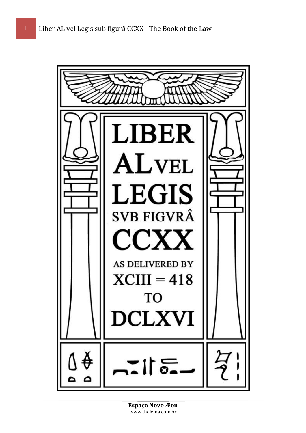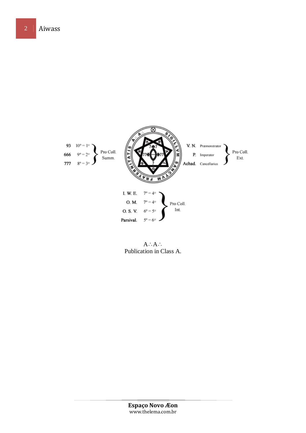

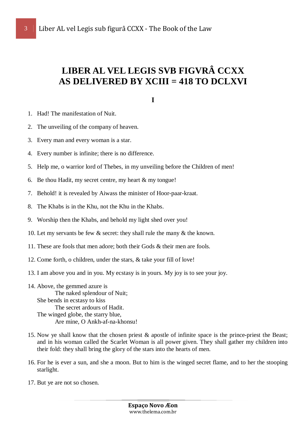# **LIBER AL VEL LEGIS SVB FIGVRÂ CCXX AS DELIVERED BY XCIII = 418 TO DCLXVI**

**I**

- 1. Had! The manifestation of Nuit.
- 2. The unveiling of the company of heaven.
- 3. Every man and every woman is a star.
- 4. Every number is infinite; there is no difference.
- 5. Help me, o warrior lord of Thebes, in my unveiling before the Children of men!
- 6. Be thou Hadit, my secret centre, my heart & my tongue!
- 7. Behold! it is revealed by Aiwass the minister of Hoor-paar-kraat.
- 8. The Khabs is in the Khu, not the Khu in the Khabs.
- 9. Worship then the Khabs, and behold my light shed over you!
- 10. Let my servants be few & secret: they shall rule the many & the known.
- 11. These are fools that men adore; both their Gods & their men are fools.
- 12. Come forth, o children, under the stars, & take your fill of love!
- 13. I am above you and in you. My ecstasy is in yours. My joy is to see your joy.
- 14. Above, the gemmed azure is The naked splendour of Nuit; She bends in ecstasy to kiss The secret ardours of Hadit. The winged globe, the starry blue, Are mine, O Ankh-af-na-khonsu!
- 15. Now ye shall know that the chosen priest & apostle of infinite space is the prince-priest the Beast; and in his woman called the Scarlet Woman is all power given. They shall gather my children into their fold: they shall bring the glory of the stars into the hearts of men.
- 16. For he is ever a sun, and she a moon. But to him is the winged secret flame, and to her the stooping starlight.
- 17. But ye are not so chosen.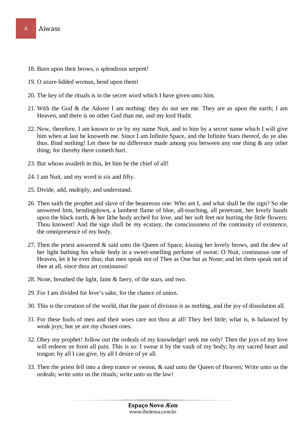- 18. Burn upon their brows, o splendrous serpent!
- 19. O azure-lidded woman, bend upon them!
- 20. The key of the rituals is in the secret word which I have given unto him.
- 21. With the God & the Adorer I am nothing: they do not see me. They are as upon the earth; I am Heaven, and there is no other God than me, and my lord Hadit.
- 22. Now, therefore, I am known to ye by my name Nuit, and to him by a secret name which I will give him when at last he knoweth me. Since I am Infinite Space, and the Infinite Stars thereof, do ye also thus. Bind nothing! Let there be no difference made among you between any one thing & any other thing; for thereby there cometh hurt.
- 23. But whoso availeth in this, let him be the chief of all!
- 24. I am Nuit, and my word is six and fifty.
- 25. Divide, add, multiply, and understand.
- 26. Then saith the prophet and slave of the beauteous one: Who am I, and what shall be the sign? So she answered him, bendingdown, a lambent flame of blue, all-touching, all penetrant, her lovely hands upon the black earth, & her lithe body arched for love, and her soft feet not hurting the little flowers: Thou knowest! And the sign shall be my ecstasy, the consciousness of the continuity of existence, the omnipresence of my body.
- 27. Then the priest answered & said unto the Queen of Space, kissing her lovely brows, and the dew of her light bathing his whole body in a sweet-smelling perfume of sweat: O Nuit, continuous one of Heaven, let it be ever thus; that men speak not of Thee as One but as None; and let them speak not of thee at all, since thou art continuous!
- 28. None, breathed the light, faint & faery, of the stars, and two.
- 29. For I am divided for love's sake, for the chance of union.
- 30. This is the creation of the world, that the pain of division is as nothing, and the joy of dissolution all.
- 31. For these fools of men and their woes care not thou at all! They feel little; what is, is balanced by weak joys; but ye are my chosen ones.
- 32. Obey my prophet! follow out the ordeals of my knowledge! seek me only! Then the joys of my love will redeem ye from all pain. This is so: I swear it by the vault of my body; by my sacred heart and tongue; by all I can give, by all I desire of ye all.
- 33. Then the priest fell into a deep trance or swoon, & said unto the Queen of Heaven; Write unto us the ordeals; write unto us the rituals; write unto us the law!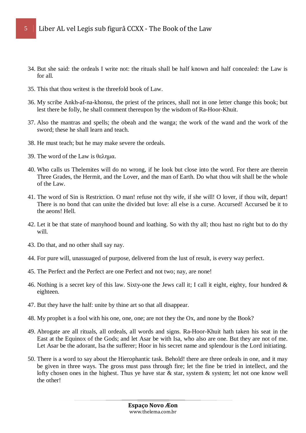- 34. But she said: the ordeals I write not: the rituals shall be half known and half concealed: the Law is for all.
- 35. This that thou writest is the threefold book of Law.
- 36. My scribe Ankh-af-na-khonsu, the priest of the princes, shall not in one letter change this book; but lest there be folly, he shall comment thereupon by the wisdom of Ra-Hoor-Khuit.
- 37. Also the mantras and spells; the obeah and the wanga; the work of the wand and the work of the sword; these he shall learn and teach.
- 38. He must teach; but he may make severe the ordeals.
- 39. The word of the Law is θελημα.
- 40. Who calls us Thelemites will do no wrong, if he look but close into the word. For there are therein Three Grades, the Hermit, and the Lover, and the man of Earth. Do what thou wilt shall be the whole of the Law.
- 41. The word of Sin is Restriction. O man! refuse not thy wife, if she will! O lover, if thou wilt, depart! There is no bond that can unite the divided but love: all else is a curse. Accursed! Accursed be it to the aeons! Hell.
- 42. Let it be that state of manyhood bound and loathing. So with thy all; thou hast no right but to do thy will.
- 43. Do that, and no other shall say nay.
- 44. For pure will, unassuaged of purpose, delivered from the lust of result, is every way perfect.
- 45. The Perfect and the Perfect are one Perfect and not two; nay, are none!
- 46. Nothing is a secret key of this law. Sixty-one the Jews call it; I call it eight, eighty, four hundred & eighteen.
- 47. But they have the half: unite by thine art so that all disappear.
- 48. My prophet is a fool with his one, one, one; are not they the Ox, and none by the Book?
- 49. Abrogate are all rituals, all ordeals, all words and signs. Ra-Hoor-Khuit hath taken his seat in the East at the Equinox of the Gods; and let Asar be with Isa, who also are one. But they are not of me. Let Asar be the adorant, Isa the sufferer; Hoor in his secret name and splendour is the Lord initiating.
- 50. There is a word to say about the Hierophantic task. Behold! there are three ordeals in one, and it may be given in three ways. The gross must pass through fire; let the fine be tried in intellect, and the lofty chosen ones in the highest. Thus ye have star & star, system & system; let not one know well the other!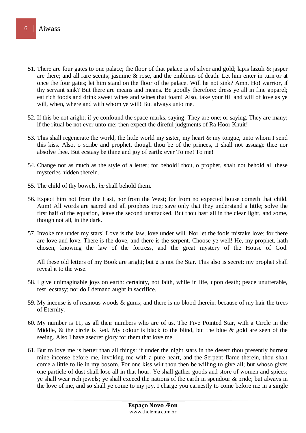- 51. There are four gates to one palace; the floor of that palace is of silver and gold; lapis lazuli & jasper are there; and all rare scents; jasmine & rose, and the emblems of death. Let him enter in turn or at once the four gates; let him stand on the floor of the palace. Will he not sink? Amn. Ho! warrior, if thy servant sink? But there are means and means. Be goodly therefore: dress ye all in fine apparel; eat rich foods and drink sweet wines and wines that foam! Also, take your fill and will of love as ye will, when, where and with whom ye will! But always unto me.
- 52. If this be not aright; if ye confound the space-marks, saying: They are one; or saying, They are many; if the ritual be not ever unto me: then expect the direful judgments of Ra Hoor Khuit!
- 53. This shall regenerate the world, the little world my sister, my heart & my tongue, unto whom I send this kiss. Also, o scribe and prophet, though thou be of the princes, it shall not assuage thee nor absolve thee. But ecstasy be thine and joy of earth: ever To me! To me!
- 54. Change not as much as the style of a letter; for behold! thou, o prophet, shalt not behold all these mysteries hidden therein.
- 55. The child of thy bowels, *he* shall behold them.
- 56. Expect him not from the East, nor from the West; for from no expected house cometh that child. Aum! All words are sacred and all prophets true; save only that they understand a little; solve the first half of the equation, leave the second unattacked. But thou hast all in the clear light, and some, though not all, in the dark.
- 57. Invoke me under my stars! Love is the law, love under will. Nor let the fools mistake love; for there are love and love. There is the dove, and there is the serpent. Choose ye well! He, my prophet, hath chosen, knowing the law of the fortress, and the great mystery of the House of God.

All these old letters of my Book are aright; but x is not the Star. This also is secret: my prophet shall reveal it to the wise.

- 58. I give unimaginable joys on earth: certainty, not faith, while in life, upon death; peace unutterable, rest, ecstasy; nor do I demand aught in sacrifice.
- 59. My incense is of resinous woods & gums; and there is no blood therein: because of my hair the trees of Eternity.
- 60. My number is 11, as all their numbers who are of us. The Five Pointed Star, with a Circle in the Middle, & the circle is Red. My colour is black to the blind, but the blue & gold are seen of the seeing. Also I have asecret glory for them that love me.
- 61. But to love me is better than all things: if under the night stars in the desert thou presently burnest mine incense before me, invoking me with a pure heart, and the Serpent flame therein, thou shalt come a little to lie in my bosom. For one kiss wilt thou then be willing to give all; but whoso gives one particle of dust shall lose all in that hour. Ye shall gather goods and store of women and spices; ye shall wear rich jewels; ye shall exceed the nations of the earth in spendour & pride; but always in the love of me, and so shall ye come to my joy. I charge you earnestly to come before me in a single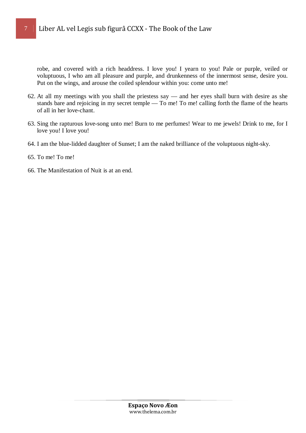robe, and covered with a rich headdress. I love you! I yearn to you! Pale or purple, veiled or voluptuous, I who am all pleasure and purple, and drunkenness of the innermost sense, desire you. Put on the wings, and arouse the coiled splendour within you: come unto me!

- 62. At all my meetings with you shall the priestess say and her eyes shall burn with desire as she stands bare and rejoicing in my secret temple — To me! To me! calling forth the flame of the hearts of all in her love-chant.
- 63. Sing the rapturous love-song unto me! Burn to me perfumes! Wear to me jewels! Drink to me, for I love you! I love you!
- 64. I am the blue-lidded daughter of Sunset; I am the naked brilliance of the voluptuous night-sky.

66. The Manifestation of Nuit is at an end.

<sup>65.</sup> To me! To me!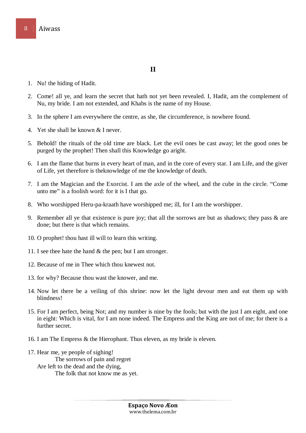- 1. Nu! the hiding of Hadit.
- 2. Come! all ye, and learn the secret that hath not yet been revealed. I, Hadit, am the complement of Nu, my bride. I am not extended, and Khabs is the name of my House.
- 3. In the sphere I am everywhere the centre, as she, the circumference, is nowhere found.
- 4. Yet she shall be known & I never.
- 5. Behold! the rituals of the old time are black. Let the evil ones be cast away; let the good ones be purged by the prophet! Then shall this Knowledge go aright.
- 6. I am the flame that burns in every heart of man, and in the core of every star. I am Life, and the giver of Life, yet therefore is theknowledge of me the knowledge of death.
- 7. I am the Magician and the Exorcist. I am the axle of the wheel, and the cube in the circle. "Come unto me" is a foolish word: for it is I that go.
- 8. Who worshipped Heru-pa-kraath have worshipped me; ill, for I am the worshipper.
- 9. Remember all ye that existence is pure joy; that all the sorrows are but as shadows; they pass & are done; but there is that which remains.
- 10. O prophet! thou hast ill will to learn this writing.
- 11. I see thee hate the hand & the pen; but I am stronger.
- 12. Because of me in Thee which thou knewest not.
- 13. for why? Because thou wast the knower, and me.
- 14. Now let there be a veiling of this shrine: now let the light devour men and eat them up with blindness!
- 15. For I am perfect, being Not; and my number is nine by the fools; but with the just I am eight, and one in eight: Which is vital, for I am none indeed. The Empress and the King are not of me; for there is a further secret.
- 16. I am The Empress & the Hierophant. Thus eleven, as my bride is eleven.
- 17. Hear me, ye people of sighing! The sorrows of pain and regret Are left to the dead and the dying, The folk that not know me as yet.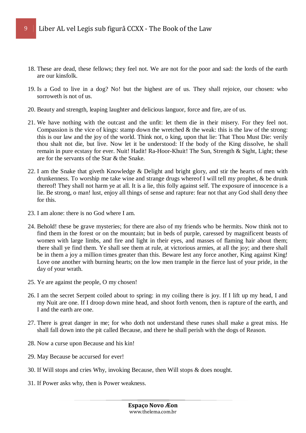### 9 Liber AL vel Legis sub figurâ CCXX - The Book of the Law

- 18. These are dead, these fellows; they feel not. We are not for the poor and sad: the lords of the earth are our kinsfolk.
- 19. Is a God to live in a dog? No! but the highest are of us. They shall rejoice, our chosen: who sorroweth is not of us.
- 20. Beauty and strength, leaping laughter and delicious languor, force and fire, are of us.
- 21. We have nothing with the outcast and the unfit: let them die in their misery. For they feel not. Compassion is the vice of kings: stamp down the wretched  $\&$  the weak: this is the law of the strong: this is our law and the joy of the world. Think not, o king, upon that lie: That Thou Must Die: verily thou shalt not die, but live. Now let it be understood: If the body of the King dissolve, he shall remain in pure ecstasy for ever. Nuit! Hadit! Ra-Hoor-Khuit! The Sun, Strength & Sight, Light; these are for the servants of the Star & the Snake.
- 22. I am the Snake that giveth Knowledge & Delight and bright glory, and stir the hearts of men with drunkenness. To worship me take wine and strange drugs whereof I will tell my prophet, & be drunk thereof! They shall not harm ye at all. It is a lie, this folly against self. The exposure of innocence is a lie. Be strong, o man! lust, enjoy all things of sense and rapture: fear not that any God shall deny thee for this.
- 23. I am alone: there is no God where I am.
- 24. Behold! these be grave mysteries; for there are also of my friends who be hermits. Now think not to find them in the forest or on the mountain; but in beds of purple, caressed by magnificent beasts of women with large limbs, and fire and light in their eyes, and masses of flaming hair about them; there shall ye find them. Ye shall see them at rule, at victorious armies, at all the joy; and there shall be in them a joy a million times greater than this. Beware lest any force another, King against King! Love one another with burning hearts; on the low men trample in the fierce lust of your pride, in the day of your wrath.
- 25. Ye are against the people, O my chosen!
- 26. I am the secret Serpent coiled about to spring: in my coiling there is joy. If I lift up my head, I and my Nuit are one. If I droop down mine head, and shoot forth venom, then is rapture of the earth, and I and the earth are one.
- 27. There is great danger in me; for who doth not understand these runes shall make a great miss. He shall fall down into the pit called Because, and there he shall perish with the dogs of Reason.
- 28. Now a curse upon Because and his kin!
- 29. May Because be accursed for ever!
- 30. If Will stops and cries Why, invoking Because, then Will stops & does nought.
- 31. If Power asks why, then is Power weakness.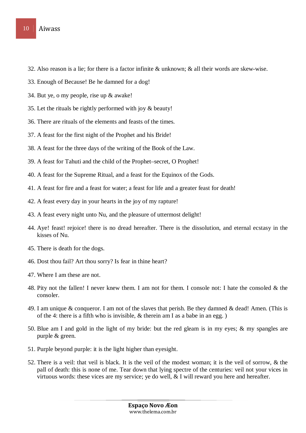- 32. Also reason is a lie; for there is a factor infinite & unknown; & all their words are skew-wise.
- 33. Enough of Because! Be he damned for a dog!
- 34. But ye, o my people, rise up & awake!
- 35. Let the rituals be rightly performed with joy & beauty!
- 36. There are rituals of the elements and feasts of the times.
- 37. A feast for the first night of the Prophet and his Bride!
- 38. A feast for the three days of the writing of the Book of the Law.
- 39. A feast for Tahuti and the child of the Prophet–secret, O Prophet!
- 40. A feast for the Supreme Ritual, and a feast for the Equinox of the Gods.
- 41. A feast for fire and a feast for water; a feast for life and a greater feast for death!
- 42. A feast every day in your hearts in the joy of my rapture!
- 43. A feast every night unto Nu, and the pleasure of uttermost delight!
- 44. Aye! feast! rejoice! there is no dread hereafter. There is the dissolution, and eternal ecstasy in the kisses of Nu.
- 45. There is death for the dogs.
- 46. Dost thou fail? Art thou sorry? Is fear in thine heart?
- 47. Where I am these are not.
- 48. Pity not the fallen! I never knew them. I am not for them. I console not: I hate the consoled & the consoler.
- 49. I am unique & conqueror. I am not of the slaves that perish. Be they damned & dead! Amen. (This is of the 4: there is a fifth who is invisible,  $\&$  therein am I as a babe in an egg.)
- 50. Blue am I and gold in the light of my bride: but the red gleam is in my eyes; & my spangles are purple & green.
- 51. Purple beyond purple: it is the light higher than eyesight.
- 52. There is a veil: that veil is black. It is the veil of the modest woman; it is the veil of sorrow, & the pall of death: this is none of me. Tear down that lying spectre of the centuries: veil not your vices in virtuous words: these vices are my service; ye do well, & I will reward you here and hereafter.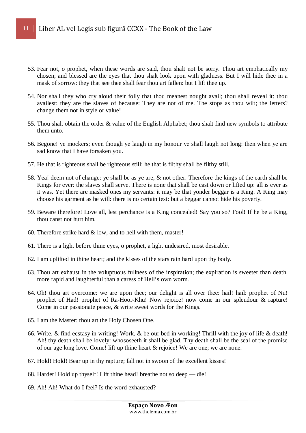## 11 Liber AL vel Legis sub figurâ CCXX - The Book of the Law

- 53. Fear not, o prophet, when these words are said, thou shalt not be sorry. Thou art emphatically my chosen; and blessed are the eyes that thou shalt look upon with gladness. But I will hide thee in a mask of sorrow: they that see thee shall fear thou art fallen: but I lift thee up.
- 54. Nor shall they who cry aloud their folly that thou meanest nought avail; thou shall reveal it: thou availest: they are the slaves of because: They are not of me. The stops as thou wilt; the letters? change them not in style or value!
- 55. Thou shalt obtain the order & value of the English Alphabet; thou shalt find new symbols to attribute them unto.
- 56. Begone! ye mockers; even though ye laugh in my honour ye shall laugh not long: then when ye are sad know that I have forsaken you.
- 57. He that is righteous shall be righteous still; he that is filthy shall be filthy still.
- 58. Yea! deem not of change: ye shall be as ye are, & not other. Therefore the kings of the earth shall be Kings for ever: the slaves shall serve. There is none that shall be cast down or lifted up: all is ever as it was. Yet there are masked ones my servants: it may be that yonder beggar is a King. A King may choose his garment as he will: there is no certain test: but a beggar cannot hide his poverty.
- 59. Beware therefore! Love all, lest perchance is a King concealed! Say you so? Fool! If he be a King, thou canst not hurt him.
- 60. Therefore strike hard & low, and to hell with them, master!
- 61. There is a light before thine eyes, o prophet, a light undesired, most desirable.
- 62. I am uplifted in thine heart; and the kisses of the stars rain hard upon thy body.
- 63. Thou art exhaust in the voluptuous fullness of the inspiration; the expiration is sweeter than death, more rapid and laughterful than a caress of Hell's own worm.
- 64. Oh! thou art overcome: we are upon thee; our delight is all over thee: hail! hail: prophet of Nu! prophet of Had! prophet of Ra-Hoor-Khu! Now rejoice! now come in our splendour & rapture! Come in our passionate peace, & write sweet words for the Kings.
- 65. I am the Master: thou art the Holy Chosen One.
- 66. Write, & find ecstasy in writing! Work, & be our bed in working! Thrill with the joy of life & death! Ah! thy death shall be lovely: whososeeth it shall be glad. Thy death shall be the seal of the promise of our age long love. Come! lift up thine heart & rejoice! We are one; we are none.
- 67. Hold! Hold! Bear up in thy rapture; fall not in swoon of the excellent kisses!
- 68. Harder! Hold up thyself! Lift thine head! breathe not so deep die!
- 69. Ah! Ah! What do I feel? Is the word exhausted?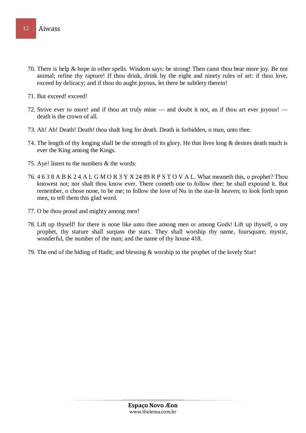- 70. There is help & hope in other spells. Wisdom says: be strong! Then canst thou bear more joy. Be not animal; refine thy rapture! If thou drink, drink by the eight and ninety rules of art: if thou love, exceed by delicacy; and if thou do aught joyous, let there be subtlety therein!
- 71. But exceed! exceed!
- 72. Strive ever to more! and if thou art truly mine and doubt it not, an if thou art ever joyous! death is the crown of all.
- 73. Ah! Ah! Death! Death! thou shalt long for death. Death is forbidden, o man, unto thee.
- 74. The length of thy longing shall be the strength of its glory. He that lives long & desires death much is ever the King among the Kings.
- 75. Aye! listen to the numbers & the words:
- 76. 4 6 3 8 A B K 2 4 A L G M O R 3 Y X 24 89 R P S T O V A L. What meaneth this, o prophet? Thou knowest not; nor shalt thou know ever. There cometh one to follow thee: he shall expound it. But remember, o chose none, to be me; to follow the love of Nu in the star-lit heaven; to look forth upon men, to tell them this glad word.
- 77. O be thou proud and mighty among men!
- 78. Lift up thyself! for there is none like unto thee among men or among Gods! Lift up thyself, o my prophet, thy stature shall surpass the stars. They shall worship thy name, foursquare, mystic, wonderful, the number of the man; and the name of thy house 418.
- 79. The end of the hiding of Hadit; and blessing & worship to the prophet of the lovely Star!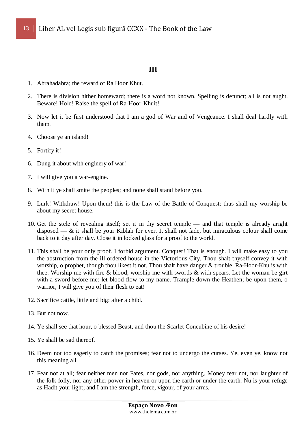#### **III**

- 1. Abrahadabra; the reward of Ra Hoor Khut.
- 2. There is division hither homeward; there is a word not known. Spelling is defunct; all is not aught. Beware! Hold! Raise the spell of Ra-Hoor-Khuit!
- 3. Now let it be first understood that I am a god of War and of Vengeance. I shall deal hardly with them.
- 4. Choose ye an island!
- 5. Fortify it!
- 6. Dung it about with enginery of war!
- 7. I will give you a war-engine.
- 8. With it ye shall smite the peoples; and none shall stand before you.
- 9. Lurk! Withdraw! Upon them! this is the Law of the Battle of Conquest: thus shall my worship be about my secret house.
- 10. Get the stele of revealing itself; set it in thy secret temple and that temple is already aright disposed —  $\&$  it shall be your Kiblah for ever. It shall not fade, but miraculous colour shall come back to it day after day. Close it in locked glass for a proof to the world.
- 11. This shall be your only proof. I forbid argument. Conquer! That is enough. I will make easy to you the abstruction from the ill-ordered house in the Victorious City. Thou shalt thyself convey it with worship, o prophet, though thou likest it not. Thou shalt have danger & trouble. Ra-Hoor-Khu is with thee. Worship me with fire & blood; worship me with swords & with spears. Let the woman be girt with a sword before me: let blood flow to my name. Trample down the Heathen; be upon them, o warrior, I will give you of their flesh to eat!
- 12. Sacrifice cattle, little and big: after a child.
- 13. But not now.
- 14. Ye shall see that hour, o blessed Beast, and thou the Scarlet Concubine of his desire!
- 15. Ye shall be sad thereof.
- 16. Deem not too eagerly to catch the promises; fear not to undergo the curses. Ye, even ye, know not this meaning all.
- 17. Fear not at all; fear neither men nor Fates, nor gods, nor anything. Money fear not, nor laughter of the folk folly, nor any other power in heaven or upon the earth or under the earth. Nu is your refuge as Hadit your light; and I am the strength, force, vigour, of your arms.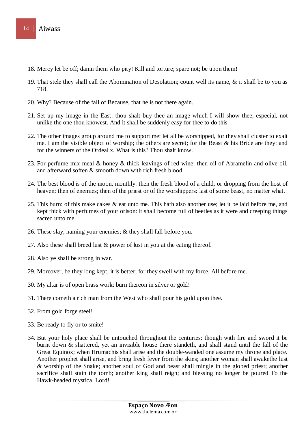- 18. Mercy let be off; damn them who pity! Kill and torture; spare not; be upon them!
- 19. That stele they shall call the Abomination of Desolation; count well its name, & it shall be to you as 718.
- 20. Why? Because of the fall of Because, that he is not there again.
- 21. Set up my image in the East: thou shalt buy thee an image which I will show thee, especial, not unlike the one thou knowest. And it shall be suddenly easy for thee to do this.
- 22. The other images group around me to support me: let all be worshipped, for they shall cluster to exalt me. I am the visible object of worship; the others are secret; for the Beast & his Bride are they: and for the winners of the Ordeal x. What is this? Thou shalt know.
- 23. For perfume mix meal & honey & thick leavings of red wine: then oil of Abramelin and olive oil, and afterward soften & smooth down with rich fresh blood.
- 24. The best blood is of the moon, monthly: then the fresh blood of a child, or dropping from the host of heaven: then of enemies; then of the priest or of the worshippers: last of some beast, no matter what.
- 25. This burn: of this make cakes & eat unto me. This hath also another use; let it be laid before me, and kept thick with perfumes of your orison: it shall become full of beetles as it were and creeping things sacred unto me.
- 26. These slay, naming your enemies; & they shall fall before you.
- 27. Also these shall breed lust & power of lust in you at the eating thereof.
- 28. Also ye shall be strong in war.
- 29. Moreover, be they long kept, it is better; for they swell with my force. All before me.
- 30. My altar is of open brass work: burn thereon in silver or gold!
- 31. There cometh a rich man from the West who shall pour his gold upon thee.
- 32. From gold forge steel!
- 33. Be ready to fly or to smite!
- 34. But your holy place shall be untouched throughout the centuries: though with fire and sword it be burnt down & shattered, yet an invisible house there standeth, and shall stand until the fall of the Great Equinox; when Hrumachis shall arise and the double-wanded one assume my throne and place. Another prophet shall arise, and bring fresh fever from the skies; another woman shall awakethe lust & worship of the Snake; another soul of God and beast shall mingle in the globed priest; another sacrifice shall stain the tomb; another king shall reign; and blessing no longer be poured To the Hawk-headed mystical Lord!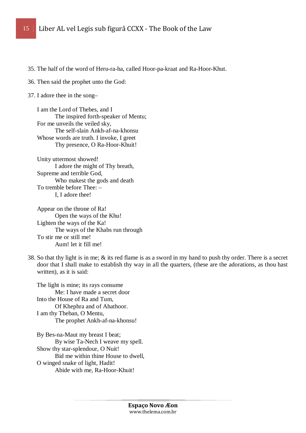35. The half of the word of Heru-ra-ha, called Hoor-pa-kraat and Ra-Hoor-Khut.

36. Then said the prophet unto the God:

37. I adore thee in the song–

I am the Lord of Thebes, and I The inspired forth-speaker of Mentu; For me unveils the veiled sky, The self-slain Ankh-af-na-khonsu Whose words are truth. I invoke, I greet Thy presence, O Ra-Hoor-Khuit!

Unity uttermost showed! I adore the might of Thy breath, Supreme and terrible God, Who makest the gods and death To tremble before Thee: – I, I adore thee!

Appear on the throne of Ra! Open the ways of the Khu! Lighten the ways of the Ka! The ways of the Khabs run through To stir me or still me! Aum! let it fill me!

38. So that thy light is in me; & its red flame is as a sword in my hand to push thy order. There is a secret door that I shall make to establish thy way in all the quarters, (these are the adorations, as thou hast written), as it is said:

The light is mine; its rays consume Me: I have made a secret door Into the House of Ra and Tum, Of Khephra and of Ahathoor. I am thy Theban, O Mentu, The prophet Ankh-af-na-khonsu!

By Bes-na-Maut my breast I beat; By wise Ta-Nech I weave my spell. Show thy star-splendour, O Nuit! Bid me within thine House to dwell, O winged snake of light, Hadit! Abide with me, Ra-Hoor-Khuit!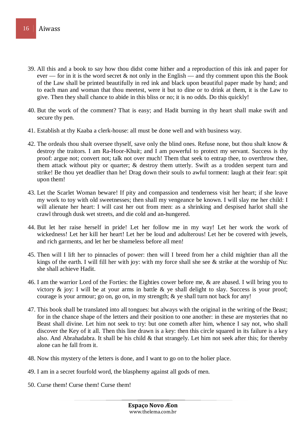- 39. All this and a book to say how thou didst come hither and a reproduction of this ink and paper for ever — for in it is the word secret  $\&$  not only in the English — and thy comment upon this the Book of the Law shall be printed beautifully in red ink and black upon beautiful paper made by hand; and to each man and woman that thou meetest, were it but to dine or to drink at them, it is the Law to give. Then they shall chance to abide in this bliss or no; it is no odds. Do this quickly!
- 40. But the work of the comment? That is easy; and Hadit burning in thy heart shall make swift and secure thy pen.
- 41. Establish at thy Kaaba a clerk-house: all must be done well and with business way.
- 42. The ordeals thou shalt oversee thyself, save only the blind ones. Refuse none, but thou shalt know  $\&$ destroy the traitors. I am Ra-Hoor-Khuit; and I am powerful to protect my servant. Success is thy proof: argue not; convert not; talk not over much! Them that seek to entrap thee, to overthrow thee, them attack without pity or quarter; & destroy them utterly. Swift as a trodden serpent turn and strike! Be thou yet deadlier than he! Drag down their souls to awful torment: laugh at their fear: spit upon them!
- 43. Let the Scarlet Woman beware! If pity and compassion and tenderness visit her heart; if she leave my work to toy with old sweetnesses; then shall my vengeance be known. I will slay me her child: I will alienate her heart: I will cast her out from men: as a shrinking and despised harlot shall she crawl through dusk wet streets, and die cold and an-hungered.
- 44. But let her raise herself in pride! Let her follow me in my way! Let her work the work of wickedness! Let her kill her heart! Let her be loud and adulterous! Let her be covered with jewels, and rich garments, and let her be shameless before all men!
- 45. Then will I lift her to pinnacles of power: then will I breed from her a child mightier than all the kings of the earth. I will fill her with joy: with my force shall she see & strike at the worship of Nu: she shall achieve Hadit.
- 46. I am the warrior Lord of the Forties: the Eighties cower before me, & are abased. I will bring you to victory  $\&$  joy: I will be at your arms in battle  $\&$  ye shall delight to slay. Success is your proof; courage is your armour; go on, go on, in my strength; & ye shall turn not back for any!
- 47. This book shall be translated into all tongues: but always with the original in the writing of the Beast; for in the chance shape of the letters and their position to one another: in these are mysteries that no Beast shall divine. Let him not seek to try: but one cometh after him, whence I say not, who shall discover the Key of it all. Then this line drawn is a key: then this circle squared in its failure is a key also. And Abrahadabra. It shall be his child & that strangely. Let him not seek after this; for thereby alone can he fall from it.
- 48. Now this mystery of the letters is done, and I want to go on to the holier place.
- 49. I am in a secret fourfold word, the blasphemy against all gods of men.
- 50. Curse them! Curse them! Curse them!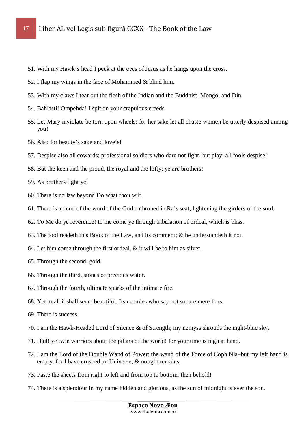- 51. With my Hawk's head I peck at the eyes of Jesus as he hangs upon the cross.
- 52. I flap my wings in the face of Mohammed & blind him.
- 53. With my claws I tear out the flesh of the Indian and the Buddhist, Mongol and Din.
- 54. Bahlasti! Ompehda! I spit on your crapulous creeds.
- 55. Let Mary inviolate be torn upon wheels: for her sake let all chaste women be utterly despised among you!
- 56. Also for beauty's sake and love's!
- 57. Despise also all cowards; professional soldiers who dare not fight, but play; all fools despise!
- 58. But the keen and the proud, the royal and the lofty; ye are brothers!
- 59. As brothers fight ye!
- 60. There is no law beyond Do what thou wilt.
- 61. There is an end of the word of the God enthroned in Ra's seat, lightening the girders of the soul.
- 62. To Me do ye reverence! to me come ye through tribulation of ordeal, which is bliss.
- 63. The fool readeth this Book of the Law, and its comment; & he understandeth it not.
- 64. Let him come through the first ordeal,  $\&$  it will be to him as silver.
- 65. Through the second, gold.
- 66. Through the third, stones of precious water.
- 67. Through the fourth, ultimate sparks of the intimate fire.
- 68. Yet to all it shall seem beautiful. Its enemies who say not so, are mere liars.
- 69. There is success.
- 70. I am the Hawk-Headed Lord of Silence & of Strength; my nemyss shrouds the night-blue sky.
- 71. Hail! ye twin warriors about the pillars of the world! for your time is nigh at hand.
- 72. I am the Lord of the Double Wand of Power; the wand of the Force of Coph Nia–but my left hand is empty, for I have crushed an Universe; & nought remains.
- 73. Paste the sheets from right to left and from top to bottom: then behold!
- 74. There is a splendour in my name hidden and glorious, as the sun of midnight is ever the son.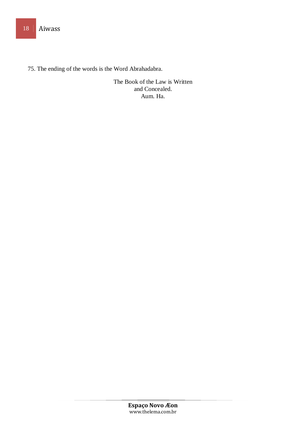75. The ending of the words is the Word Abrahadabra.

The Book of the Law is Written and Concealed. Aum. Ha.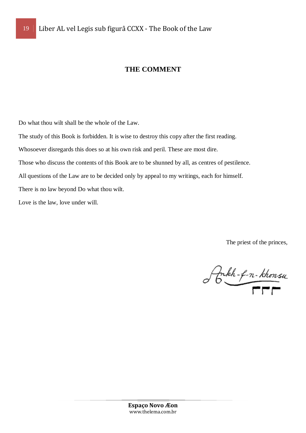#### **THE COMMENT**

Do what thou wilt shall be the whole of the Law.

The study of this Book is forbidden. It is wise to destroy this copy after the first reading.

Whosoever disregards this does so at his own risk and peril. These are most dire.

Those who discuss the contents of this Book are to be shunned by all, as centres of pestilence.

All questions of the Law are to be decided only by appeal to my writings, each for himself.

There is no law beyond Do what thou wilt.

Love is the law, love under will.

The priest of the princes,

Prkh-f-n-khonsu

**Espaço Novo Æon** [www.thelema.com.br](http://www.thelema.com.br)